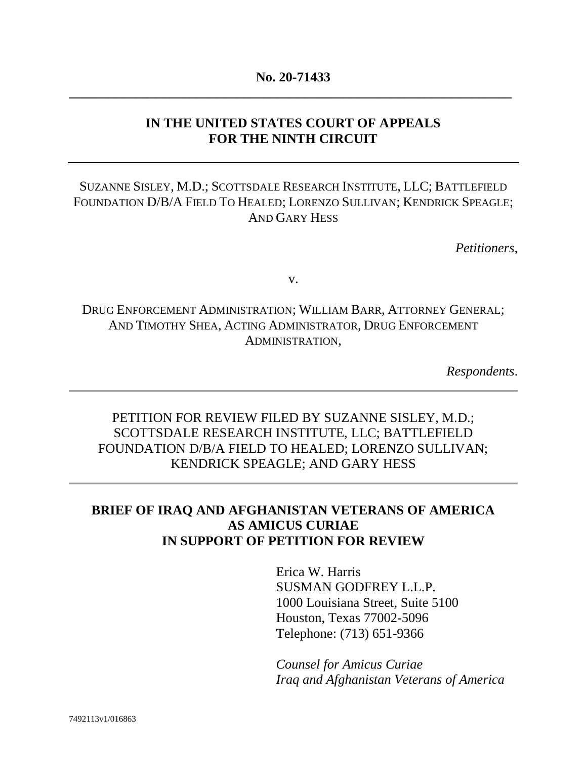### **No. 20-71433 \_\_\_\_\_\_\_\_\_\_\_\_\_\_\_\_\_\_\_\_\_\_\_\_\_\_\_\_\_\_\_\_\_\_\_\_\_\_\_\_\_\_\_\_\_\_\_\_\_\_\_\_\_\_\_\_\_\_\_\_\_\_\_\_\_\_**

### **IN THE UNITED STATES COURT OF APPEALS FOR THE NINTH CIRCUIT**

### SUZANNE SISLEY, M.D.; SCOTTSDALE RESEARCH INSTITUTE, LLC; BATTLEFIELD FOUNDATION D/B/A FIELD TO HEALED; LORENZO SULLIVAN; KENDRICK SPEAGLE; AND GARY HESS

*Petitioners*,

v.

# DRUG ENFORCEMENT ADMINISTRATION; WILLIAM BARR, ATTORNEY GENERAL; AND TIMOTHY SHEA, ACTING ADMINISTRATOR, DRUG ENFORCEMENT ADMINISTRATION,

*Respondents*.

## PETITION FOR REVIEW FILED BY SUZANNE SISLEY, M.D.; SCOTTSDALE RESEARCH INSTITUTE, LLC; BATTLEFIELD FOUNDATION D/B/A FIELD TO HEALED; LORENZO SULLIVAN; KENDRICK SPEAGLE; AND GARY HESS

### **BRIEF OF IRAQ AND AFGHANISTAN VETERANS OF AMERICA AS AMICUS CURIAE IN SUPPORT OF PETITION FOR REVIEW**

Erica W. Harris SUSMAN GODFREY L.L.P. 1000 Louisiana Street, Suite 5100 Houston, Texas 77002-5096 Telephone: (713) 651-9366

*Counsel for Amicus Curiae Iraq and Afghanistan Veterans of America*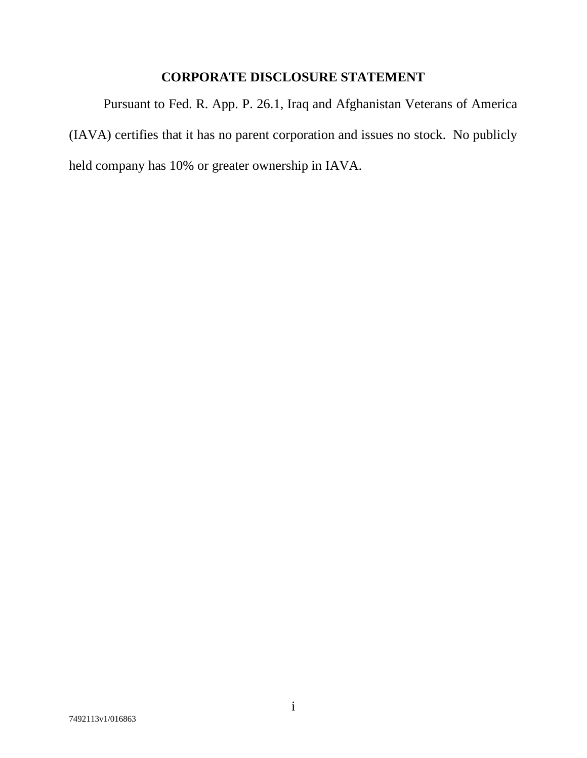## **CORPORATE DISCLOSURE STATEMENT**

<span id="page-1-0"></span>Pursuant to Fed. R. App. P. 26.1, Iraq and Afghanistan Veterans of America (IAVA) certifies that it has no parent corporation and issues no stock. No publicly held company has 10% or greater ownership in IAVA.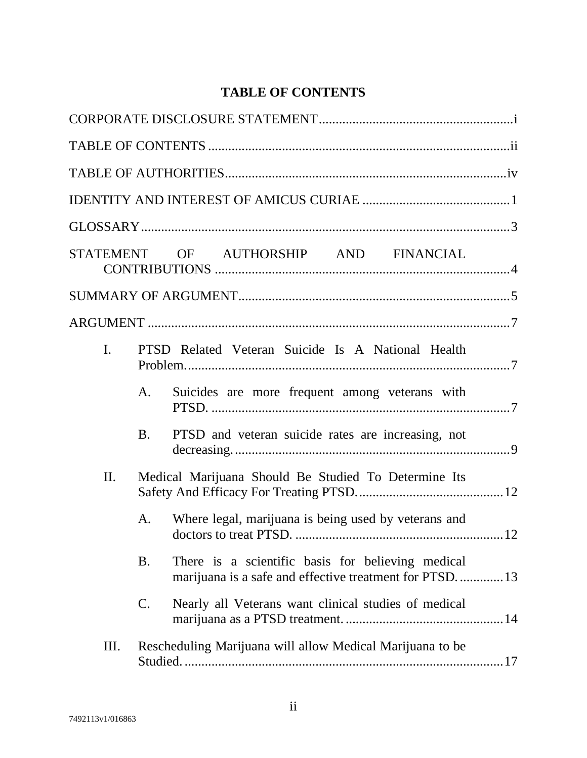# **TABLE OF CONTENTS**

<span id="page-2-0"></span>

|                                                                     |                | STATEMENT OF AUTHORSHIP AND FINANCIAL                                                                       |  |  |
|---------------------------------------------------------------------|----------------|-------------------------------------------------------------------------------------------------------------|--|--|
|                                                                     |                |                                                                                                             |  |  |
|                                                                     |                |                                                                                                             |  |  |
| $\mathbf{I}$ .<br>PTSD Related Veteran Suicide Is A National Health |                |                                                                                                             |  |  |
|                                                                     | A.             | Suicides are more frequent among veterans with                                                              |  |  |
|                                                                     | <b>B.</b>      | PTSD and veteran suicide rates are increasing, not                                                          |  |  |
| II.                                                                 |                | Medical Marijuana Should Be Studied To Determine Its                                                        |  |  |
|                                                                     | A.             | Where legal, marijuana is being used by veterans and                                                        |  |  |
|                                                                     | <b>B.</b>      | There is a scientific basis for believing medical<br>marijuana is a safe and effective treatment for PTSD13 |  |  |
|                                                                     | $\mathbf{C}$ . | Nearly all Veterans want clinical studies of medical                                                        |  |  |
| III.                                                                |                | Rescheduling Marijuana will allow Medical Marijuana to be                                                   |  |  |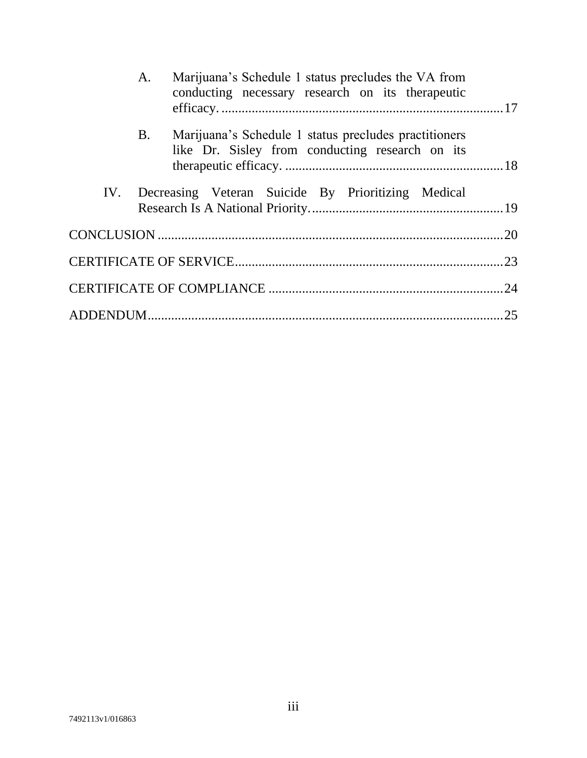| A.        | Marijuana's Schedule 1 status precludes the VA from<br>conducting necessary research on its therapeutic  |  |
|-----------|----------------------------------------------------------------------------------------------------------|--|
| <b>B.</b> | Marijuana's Schedule 1 status precludes practitioners<br>like Dr. Sisley from conducting research on its |  |
|           | IV. Decreasing Veteran Suicide By Prioritizing Medical                                                   |  |
|           |                                                                                                          |  |
|           |                                                                                                          |  |
|           |                                                                                                          |  |
|           |                                                                                                          |  |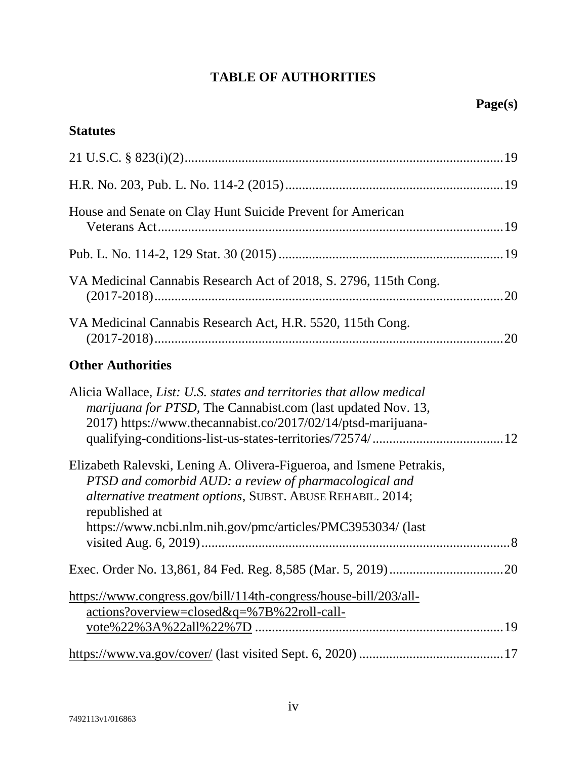# **TABLE OF AUTHORITIES**

### <span id="page-4-0"></span>**Statutes**

| House and Senate on Clay Hunt Suicide Prevent for American       |  |
|------------------------------------------------------------------|--|
|                                                                  |  |
| VA Medicinal Cannabis Research Act of 2018, S. 2796, 115th Cong. |  |
| VA Medicinal Cannabis Research Act, H.R. 5520, 115th Cong.       |  |

# **Other Authorities**

| Alicia Wallace, List: U.S. states and territories that allow medical<br><i>marijuana for PTSD</i> , The Cannabist.com (last updated Nov. 13,<br>2017) https://www.thecannabist.co/2017/02/14/ptsd-marijuana-                                                                  |  |
|-------------------------------------------------------------------------------------------------------------------------------------------------------------------------------------------------------------------------------------------------------------------------------|--|
| Elizabeth Ralevski, Lening A. Olivera-Figueroa, and Ismene Petrakis,<br>PTSD and comorbid AUD: a review of pharmacological and<br>alternative treatment options, SUBST. ABUSE REHABIL. 2014;<br>republished at<br>https://www.ncbi.nlm.nih.gov/pmc/articles/PMC3953034/ (last |  |
|                                                                                                                                                                                                                                                                               |  |
| https://www.congress.gov/bill/114th-congress/house-bill/203/all-<br>actions?overview=closed&q=%7B%22roll-call-                                                                                                                                                                |  |
|                                                                                                                                                                                                                                                                               |  |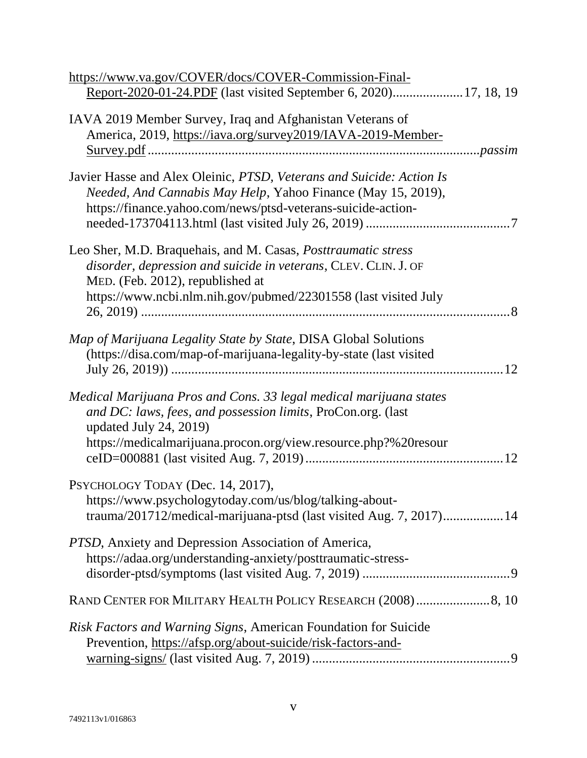| https://www.va.gov/COVER/docs/COVER-Commission-Final-                                                                                                                                                                                          |
|------------------------------------------------------------------------------------------------------------------------------------------------------------------------------------------------------------------------------------------------|
| IAVA 2019 Member Survey, Iraq and Afghanistan Veterans of<br>America, 2019, https://iava.org/survey2019/IAVA-2019-Member-                                                                                                                      |
| Javier Hasse and Alex Oleinic, PTSD, Veterans and Suicide: Action Is<br>Needed, And Cannabis May Help, Yahoo Finance (May 15, 2019),<br>https://finance.yahoo.com/news/ptsd-veterans-suicide-action-                                           |
| Leo Sher, M.D. Braquehais, and M. Casas, <i>Posttraumatic stress</i><br>disorder, depression and suicide in veterans, CLEV. CLIN. J. OF<br>MED. (Feb. 2012), republished at<br>https://www.ncbi.nlm.nih.gov/pubmed/22301558 (last visited July |
| Map of Marijuana Legality State by State, DISA Global Solutions<br>(https://disa.com/map-of-marijuana-legality-by-state (last visited<br>12                                                                                                    |
| Medical Marijuana Pros and Cons. 33 legal medical marijuana states<br>and DC: laws, fees, and possession limits, ProCon.org. (last<br>updated July 24, 2019)<br>https://medicalmarijuana.procon.org/view.resource.php?%20resour                |
| PSYCHOLOGY TODAY (Dec. 14, 2017),<br>https://www.psychologytoday.com/us/blog/talking-about-<br>trauma/201712/medical-marijuana-ptsd (last visited Aug. 7, 2017)14                                                                              |
| PTSD, Anxiety and Depression Association of America,<br>https://adaa.org/understanding-anxiety/posttraumatic-stress-                                                                                                                           |
| RAND CENTER FOR MILITARY HEALTH POLICY RESEARCH (2008)8, 10                                                                                                                                                                                    |
| Risk Factors and Warning Signs, American Foundation for Suicide<br>Prevention, https://afsp.org/about-suicide/risk-factors-and-                                                                                                                |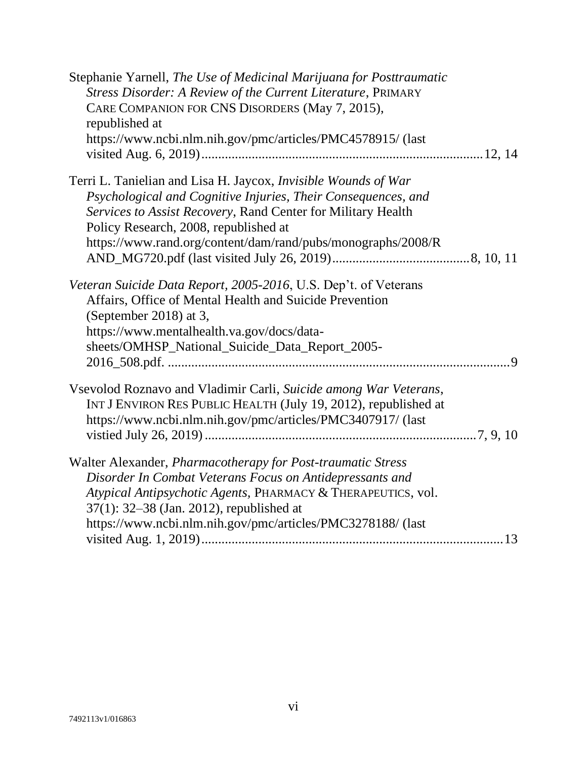| Stephanie Yarnell, The Use of Medicinal Marijuana for Posttraumatic<br><b>Stress Disorder: A Review of the Current Literature, PRIMARY</b><br>CARE COMPANION FOR CNS DISORDERS (May 7, 2015),<br>republished at<br>https://www.ncbi.nlm.nih.gov/pmc/articles/PMC4578915/ (last                                  |
|-----------------------------------------------------------------------------------------------------------------------------------------------------------------------------------------------------------------------------------------------------------------------------------------------------------------|
| Terri L. Tanielian and Lisa H. Jaycox, <i>Invisible Wounds of War</i><br>Psychological and Cognitive Injuries, Their Consequences, and<br>Services to Assist Recovery, Rand Center for Military Health<br>Policy Research, 2008, republished at<br>https://www.rand.org/content/dam/rand/pubs/monographs/2008/R |
| Veteran Suicide Data Report, 2005-2016, U.S. Dep't. of Veterans<br>Affairs, Office of Mental Health and Suicide Prevention<br>(September 2018) at 3,<br>https://www.mentalhealth.va.gov/docs/data-<br>sheets/OMHSP_National_Suicide_Data_Report_2005-                                                           |
| Vsevolod Roznavo and Vladimir Carli, Suicide among War Veterans,<br>INT J ENVIRON RES PUBLIC HEALTH (July 19, 2012), republished at<br>https://www.ncbi.nlm.nih.gov/pmc/articles/PMC3407917/ (last                                                                                                              |
| Walter Alexander, <i>Pharmacotherapy for Post-traumatic Stress</i><br>Disorder In Combat Veterans Focus on Antidepressants and<br>Atypical Antipsychotic Agents, PHARMACY & THERAPEUTICS, vol.<br>$37(1)$ : 32–38 (Jan. 2012), republished at<br>https://www.ncbi.nlm.nih.gov/pmc/articles/PMC3278188/ (last    |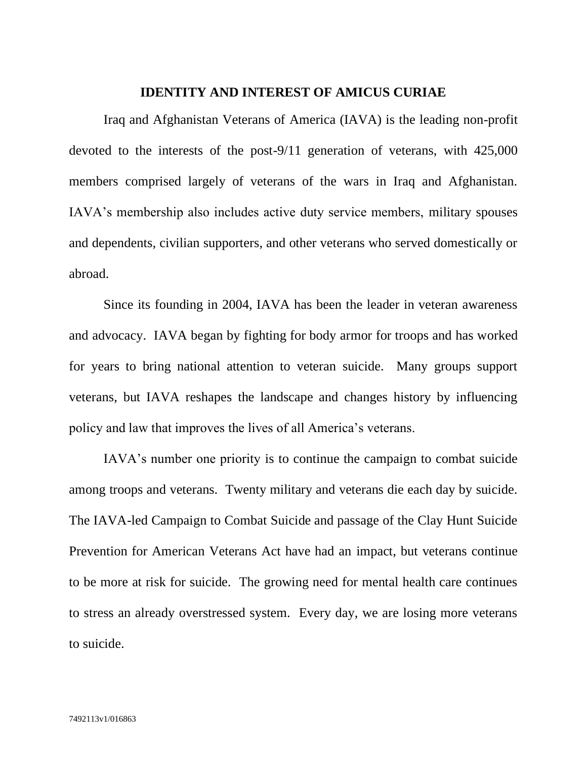#### **IDENTITY AND INTEREST OF AMICUS CURIAE**

<span id="page-7-0"></span>Iraq and Afghanistan Veterans of America (IAVA) is the leading non-profit devoted to the interests of the post-9/11 generation of veterans, with 425,000 members comprised largely of veterans of the wars in Iraq and Afghanistan. IAVA's membership also includes active duty service members, military spouses and dependents, civilian supporters, and other veterans who served domestically or abroad.

Since its founding in 2004, IAVA has been the leader in veteran awareness and advocacy. IAVA began by fighting for body armor for troops and has worked for years to bring national attention to veteran suicide. Many groups support veterans, but IAVA reshapes the landscape and changes history by influencing policy and law that improves the lives of all America's veterans.

IAVA's number one priority is to continue the campaign to combat suicide among troops and veterans. Twenty military and veterans die each day by suicide. The IAVA-led Campaign to Combat Suicide and passage of the Clay Hunt Suicide Prevention for American Veterans Act have had an impact, but veterans continue to be more at risk for suicide. The growing need for mental health care continues to stress an already overstressed system. Every day, we are losing more veterans to suicide.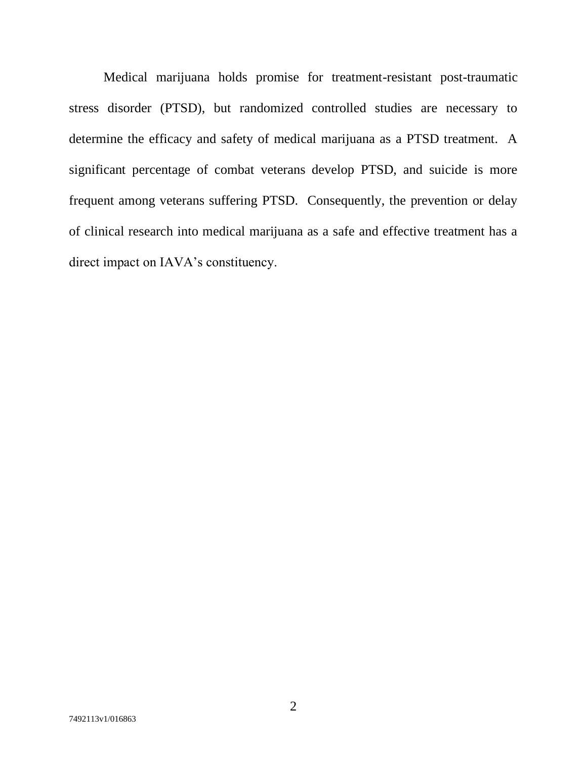Medical marijuana holds promise for treatment-resistant post-traumatic stress disorder (PTSD), but randomized controlled studies are necessary to determine the efficacy and safety of medical marijuana as a PTSD treatment. A significant percentage of combat veterans develop PTSD, and suicide is more frequent among veterans suffering PTSD. Consequently, the prevention or delay of clinical research into medical marijuana as a safe and effective treatment has a direct impact on IAVA's constituency.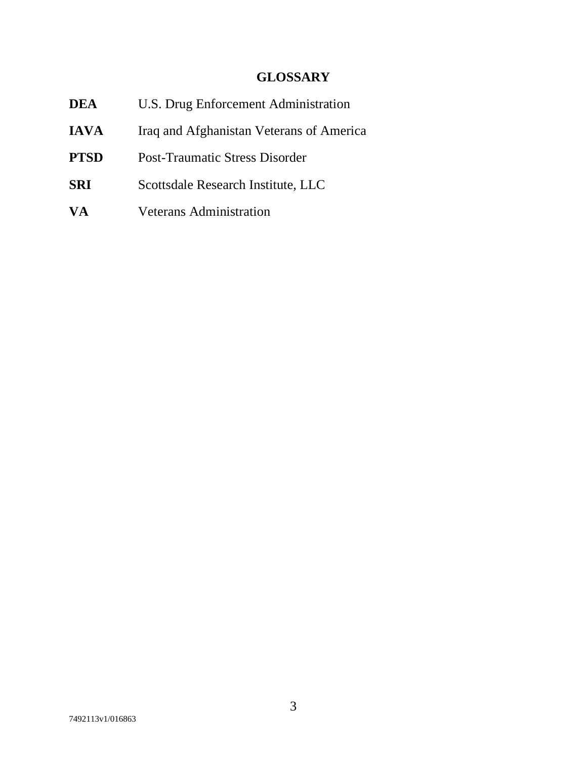# **GLOSSARY**

<span id="page-9-0"></span>

| <b>DEA</b>  | U.S. Drug Enforcement Administration     |  |  |  |
|-------------|------------------------------------------|--|--|--|
| <b>IAVA</b> | Iraq and Afghanistan Veterans of America |  |  |  |
| <b>PTSD</b> | <b>Post-Traumatic Stress Disorder</b>    |  |  |  |
| <b>SRI</b>  | Scottsdale Research Institute, LLC       |  |  |  |
| <b>VA</b>   | <b>Veterans Administration</b>           |  |  |  |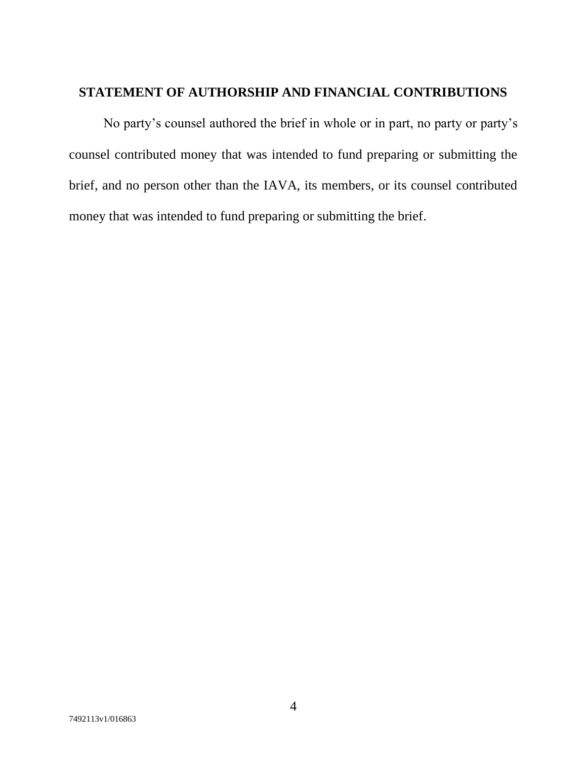## <span id="page-10-0"></span>**STATEMENT OF AUTHORSHIP AND FINANCIAL CONTRIBUTIONS**

No party's counsel authored the brief in whole or in part, no party or party's counsel contributed money that was intended to fund preparing or submitting the brief, and no person other than the IAVA, its members, or its counsel contributed money that was intended to fund preparing or submitting the brief.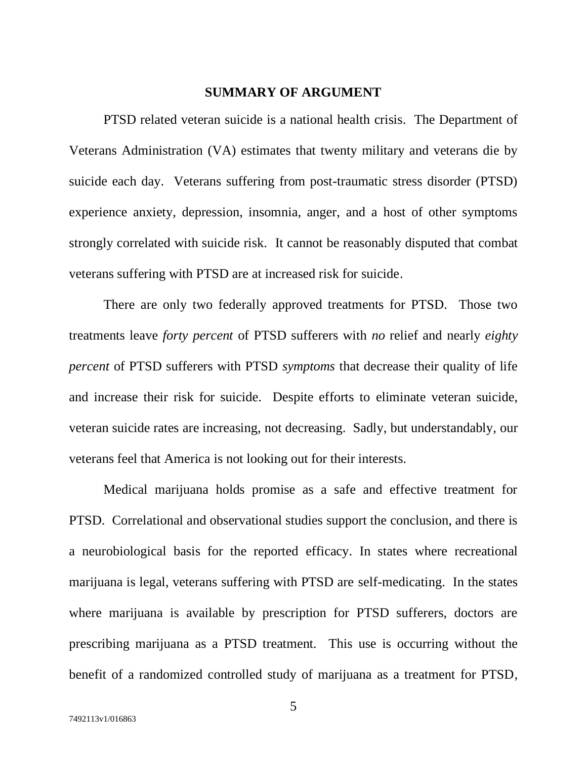#### **SUMMARY OF ARGUMENT**

<span id="page-11-0"></span>PTSD related veteran suicide is a national health crisis. The Department of Veterans Administration (VA) estimates that twenty military and veterans die by suicide each day. Veterans suffering from post-traumatic stress disorder (PTSD) experience anxiety, depression, insomnia, anger, and a host of other symptoms strongly correlated with suicide risk. It cannot be reasonably disputed that combat veterans suffering with PTSD are at increased risk for suicide.

There are only two federally approved treatments for PTSD. Those two treatments leave *forty percent* of PTSD sufferers with *no* relief and nearly *eighty percent* of PTSD sufferers with PTSD *symptoms* that decrease their quality of life and increase their risk for suicide. Despite efforts to eliminate veteran suicide, veteran suicide rates are increasing, not decreasing. Sadly, but understandably, our veterans feel that America is not looking out for their interests.

Medical marijuana holds promise as a safe and effective treatment for PTSD. Correlational and observational studies support the conclusion, and there is a neurobiological basis for the reported efficacy. In states where recreational marijuana is legal, veterans suffering with PTSD are self-medicating. In the states where marijuana is available by prescription for PTSD sufferers, doctors are prescribing marijuana as a PTSD treatment. This use is occurring without the benefit of a randomized controlled study of marijuana as a treatment for PTSD,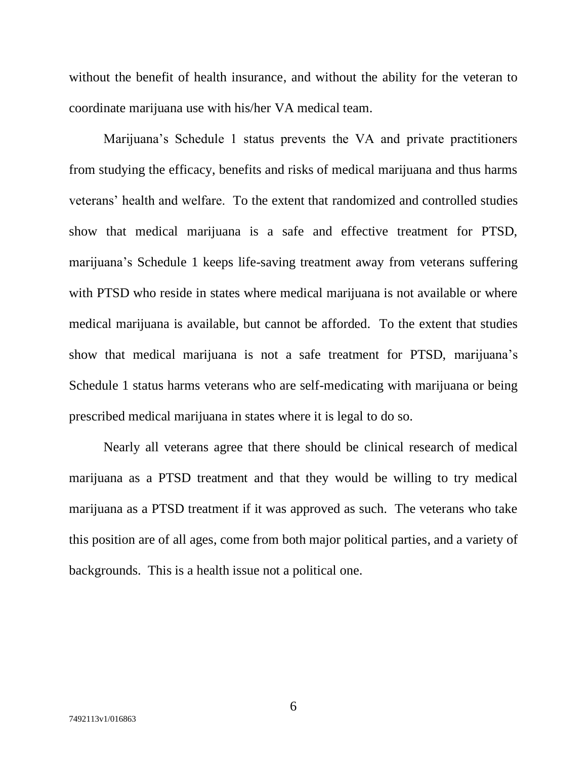without the benefit of health insurance, and without the ability for the veteran to coordinate marijuana use with his/her VA medical team.

Marijuana's Schedule 1 status prevents the VA and private practitioners from studying the efficacy, benefits and risks of medical marijuana and thus harms veterans' health and welfare. To the extent that randomized and controlled studies show that medical marijuana is a safe and effective treatment for PTSD, marijuana's Schedule 1 keeps life-saving treatment away from veterans suffering with PTSD who reside in states where medical marijuana is not available or where medical marijuana is available, but cannot be afforded. To the extent that studies show that medical marijuana is not a safe treatment for PTSD, marijuana's Schedule 1 status harms veterans who are self-medicating with marijuana or being prescribed medical marijuana in states where it is legal to do so.

Nearly all veterans agree that there should be clinical research of medical marijuana as a PTSD treatment and that they would be willing to try medical marijuana as a PTSD treatment if it was approved as such. The veterans who take this position are of all ages, come from both major political parties, and a variety of backgrounds. This is a health issue not a political one.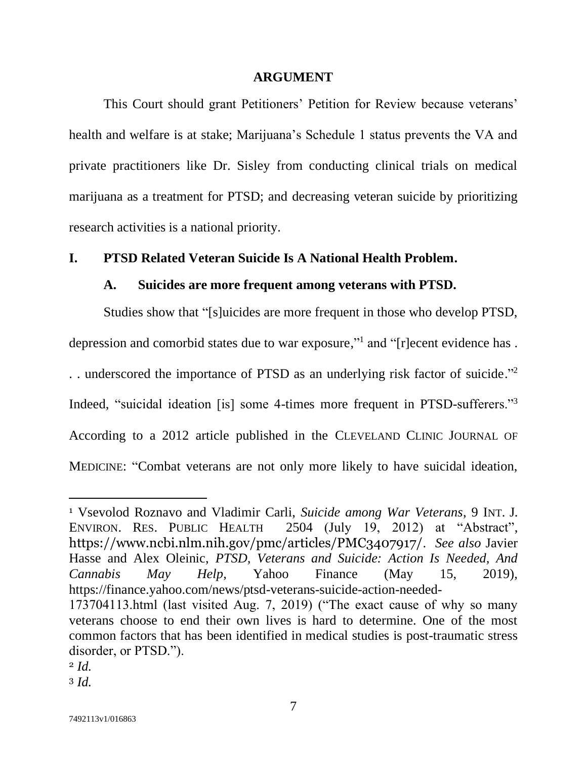#### **ARGUMENT**

<span id="page-13-0"></span>This Court should grant Petitioners' Petition for Review because veterans' health and welfare is at stake; Marijuana's Schedule 1 status prevents the VA and private practitioners like Dr. Sisley from conducting clinical trials on medical marijuana as a treatment for PTSD; and decreasing veteran suicide by prioritizing research activities is a national priority.

#### <span id="page-13-2"></span><span id="page-13-1"></span>**I. PTSD Related Veteran Suicide Is A National Health Problem.**

#### **A. Suicides are more frequent among veterans with PTSD.**

Studies show that "[s]uicides are more frequent in those who develop PTSD, depression and comorbid states due to war exposure," and "[r]ecent evidence has. .. underscored the importance of PTSD as an underlying risk factor of suicide."<sup>2</sup> Indeed, "suicidal ideation [is] some 4-times more frequent in PTSD-sufferers."<sup>3</sup> According to a 2012 article published in the CLEVELAND CLINIC JOURNAL OF MEDICINE: "Combat veterans are not only more likely to have suicidal ideation,

<span id="page-13-4"></span><span id="page-13-3"></span><sup>1</sup> Vsevolod Roznavo and Vladimir Carli, *Suicide among War Veterans*, 9 INT. J. ENVIRON. RES. PUBLIC HEALTH 2504 (July 19, 2012) at "Abstract", https://www.ncbi.nlm.nih.gov/pmc/articles/PMC3407917/. *See also* Javier Hasse and Alex Oleinic, *PTSD, Veterans and Suicide: Action Is Needed, And Cannabis May Help*, Yahoo Finance (May 15, 2019), https://finance.yahoo.com/news/ptsd-veterans-suicide-action-needed-

<sup>173704113.</sup>html (last visited Aug. 7, 2019) ("The exact cause of why so many veterans choose to end their own lives is hard to determine. One of the most common factors that has been identified in medical studies is post-traumatic stress disorder, or PTSD.").

<sup>2</sup> *Id.*

<sup>3</sup> *Id.*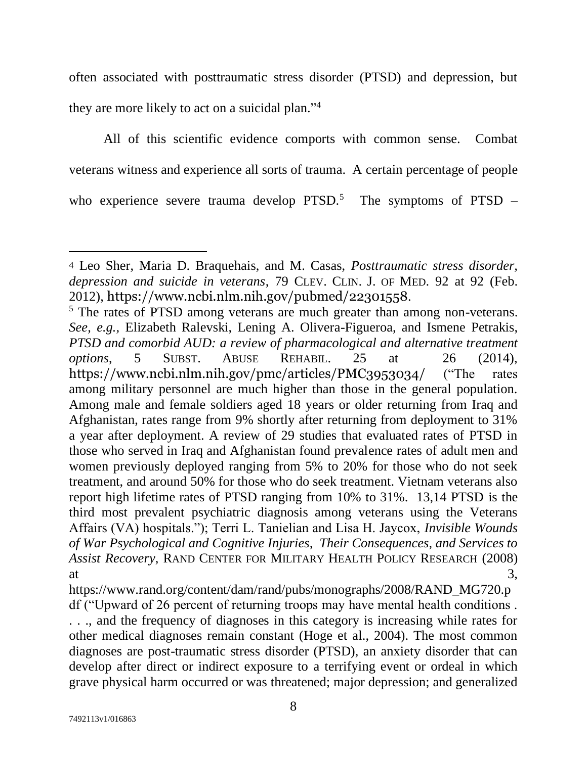often associated with posttraumatic stress disorder (PTSD) and depression, but they are more likely to act on a suicidal plan." 4

All of this scientific evidence comports with common sense. Combat veterans witness and experience all sorts of trauma. A certain percentage of people who experience severe trauma develop PTSD.<sup>5</sup> The symptoms of PTSD –

<span id="page-14-1"></span><sup>4</sup> Leo Sher, Maria D. Braquehais, and M. Casas, *Posttraumatic stress disorder, depression and suicide in veterans*, 79 CLEV. CLIN. J. OF MED. 92 at 92 (Feb. 2012), https://www.ncbi.nlm.nih.gov/pubmed/22301558.

<span id="page-14-0"></span><sup>&</sup>lt;sup>5</sup> The rates of PTSD among veterans are much greater than among non-veterans. *See, e.g.,* Elizabeth Ralevski, Lening A. Olivera-Figueroa, and Ismene Petrakis, *PTSD and comorbid AUD: a review of pharmacological and alternative treatment options*, 5 SUBST. ABUSE REHABIL. 25 at 26 (2014), https://www.ncbi.nlm.nih.gov/pmc/articles/PMC3953034/ ("The rates among military personnel are much higher than those in the general population. Among male and female soldiers aged 18 years or older returning from Iraq and Afghanistan, rates range from 9% shortly after returning from deployment to 31% a year after deployment. A review of 29 studies that evaluated rates of PTSD in those who served in Iraq and Afghanistan found prevalence rates of adult men and women previously deployed ranging from 5% to 20% for those who do not seek treatment, and around 50% for those who do seek treatment. Vietnam veterans also report high lifetime rates of PTSD ranging from 10% to 31%. 13,14 PTSD is the third most prevalent psychiatric diagnosis among veterans using the Veterans Affairs (VA) hospitals."); Terri L. Tanielian and Lisa H. Jaycox, *Invisible Wounds of War Psychological and Cognitive Injuries, Their Consequences, and Services to Assist Recovery*, RAND CENTER FOR MILITARY HEALTH POLICY RESEARCH (2008) at  $3,$ 

<span id="page-14-3"></span><span id="page-14-2"></span>https://www.rand.org/content/dam/rand/pubs/monographs/2008/RAND\_MG720.p df ("Upward of 26 percent of returning troops may have mental health conditions . . . ., and the frequency of diagnoses in this category is increasing while rates for other medical diagnoses remain constant (Hoge et al., 2004). The most common diagnoses are post-traumatic stress disorder (PTSD), an anxiety disorder that can develop after direct or indirect exposure to a terrifying event or ordeal in which grave physical harm occurred or was threatened; major depression; and generalized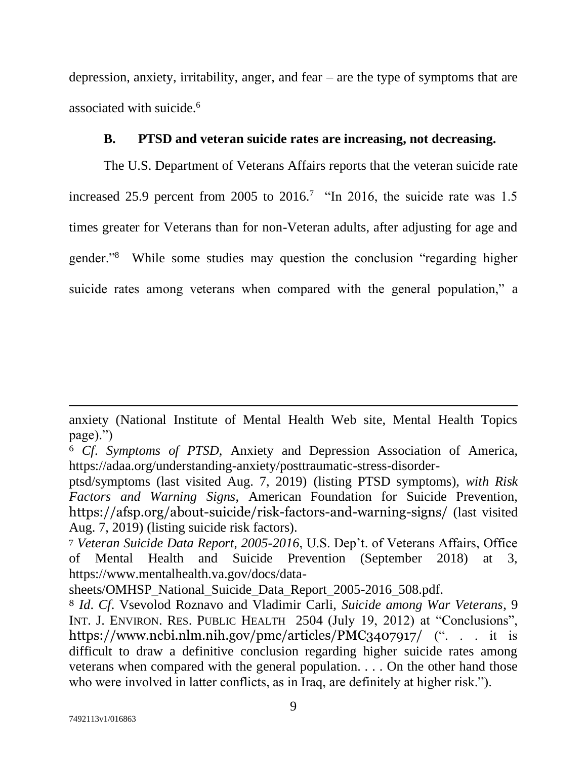depression, anxiety, irritability, anger, and fear – are the type of symptoms that are associated with suicide.<sup>6</sup>

#### **B. PTSD and veteran suicide rates are increasing, not decreasing.**

<span id="page-15-0"></span>The U.S. Department of Veterans Affairs reports that the veteran suicide rate increased 25.9 percent from 2005 to 2016.<sup>7</sup> "In 2016, the suicide rate was 1.5 times greater for Veterans than for non-Veteran adults, after adjusting for age and gender."<sup>8</sup> While some studies may question the conclusion "regarding higher suicide rates among veterans when compared with the general population," a

anxiety (National Institute of Mental Health Web site, Mental Health Topics page).")

<span id="page-15-1"></span><sup>6</sup> *Cf*. *Symptoms of PTSD*, Anxiety and Depression Association of America, https://adaa.org/understanding-anxiety/posttraumatic-stress-disorder-

<span id="page-15-2"></span>ptsd/symptoms (last visited Aug. 7, 2019) (listing PTSD symptoms), *with Risk Factors and Warning Signs*, American Foundation for Suicide Prevention, https://afsp.org/about-suicide/risk-factors-and-warning-signs/ (last visited Aug. 7, 2019) (listing suicide risk factors).

<span id="page-15-3"></span><sup>7</sup> *Veteran Suicide Data Report, 2005-2016*, U.S. Dep't. of Veterans Affairs, Office of Mental Health and Suicide Prevention (September 2018) at 3, https://www.mentalhealth.va.gov/docs/data-

sheets/OMHSP\_National\_Suicide\_Data\_Report\_2005-2016\_508.pdf.

<span id="page-15-4"></span><sup>8</sup> *Id*. *Cf*. Vsevolod Roznavo and Vladimir Carli, *Suicide among War Veterans*, 9 INT. J. ENVIRON. RES. PUBLIC HEALTH 2504 (July 19, 2012) at "Conclusions", https://www.ncbi.nlm.nih.gov/pmc/articles/PMC3407917/ (". . . it is difficult to draw a definitive conclusion regarding higher suicide rates among veterans when compared with the general population. . . . On the other hand those who were involved in latter conflicts, as in Iraq, are definitely at higher risk.").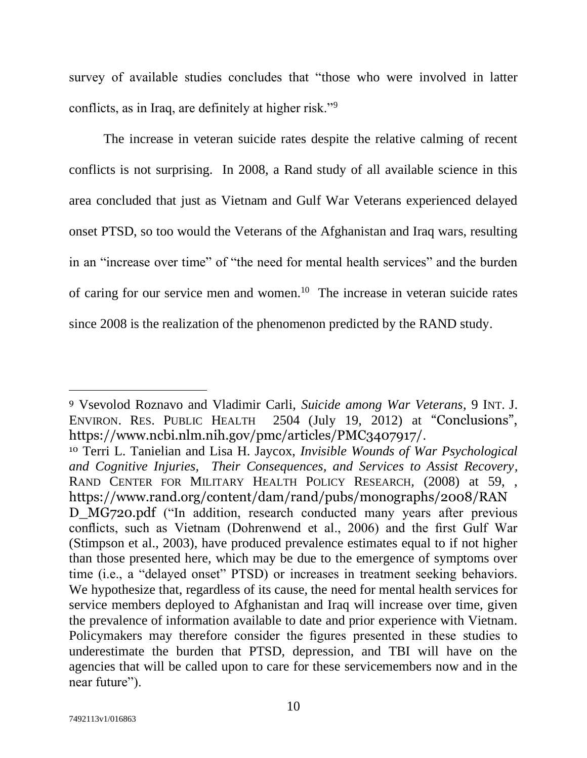survey of available studies concludes that "those who were involved in latter conflicts, as in Iraq, are definitely at higher risk."<sup>9</sup>

The increase in veteran suicide rates despite the relative calming of recent conflicts is not surprising. In 2008, a Rand study of all available science in this area concluded that just as Vietnam and Gulf War Veterans experienced delayed onset PTSD, so too would the Veterans of the Afghanistan and Iraq wars, resulting in an "increase over time" of "the need for mental health services" and the burden of caring for our service men and women.<sup>10</sup> The increase in veteran suicide rates since 2008 is the realization of the phenomenon predicted by the RAND study.

<span id="page-16-1"></span><sup>9</sup> Vsevolod Roznavo and Vladimir Carli, *Suicide among War Veterans*, 9 INT. J. ENVIRON. RES. PUBLIC HEALTH 2504 (July 19, 2012) at "Conclusions", https://www.ncbi.nlm.nih.gov/pmc/articles/PMC3407917/.

<span id="page-16-0"></span><sup>10</sup> Terri L. Tanielian and Lisa H. Jaycox, *Invisible Wounds of War Psychological and Cognitive Injuries, Their Consequences, and Services to Assist Recovery,* RAND CENTER FOR MILITARY HEALTH POLICY RESEARCH*,* (2008) at 59, , https://www.rand.org/content/dam/rand/pubs/monographs/2008/RAN D\_MG720.pdf ("In addition, research conducted many years after previous conflicts, such as Vietnam (Dohrenwend et al., 2006) and the first Gulf War (Stimpson et al., 2003), have produced prevalence estimates equal to if not higher than those presented here, which may be due to the emergence of symptoms over time (i.e., a "delayed onset" PTSD) or increases in treatment seeking behaviors. We hypothesize that, regardless of its cause, the need for mental health services for service members deployed to Afghanistan and Iraq will increase over time, given the prevalence of information available to date and prior experience with Vietnam. Policymakers may therefore consider the figures presented in these studies to underestimate the burden that PTSD, depression, and TBI will have on the agencies that will be called upon to care for these servicemembers now and in the near future").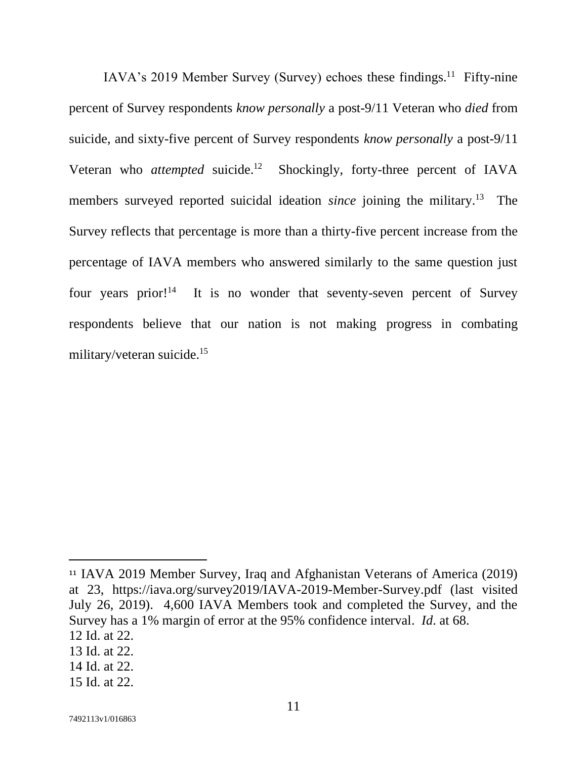IAVA's 2019 Member Survey (Survey) echoes these findings.<sup>11</sup> Fifty-nine percent of Survey respondents *know personally* a post-9/11 Veteran who *died* from suicide, and sixty-five percent of Survey respondents *know personally* a post-9/11 Veteran who *attempted* suicide. Shockingly, forty-three percent of IAVA members surveyed reported suicidal ideation *since* joining the military.<sup>13</sup> The Survey reflects that percentage is more than a thirty-five percent increase from the percentage of IAVA members who answered similarly to the same question just four vears prior!<sup>14</sup> It is no wonder that seventy-seven percent of Survey respondents believe that our nation is not making progress in combating military/veteran suicide.<sup>15</sup>

- 14 Id. at 22.
- 15 Id. at 22.

<span id="page-17-1"></span><sup>11</sup> IAVA 2019 Member Survey, Iraq and Afghanistan Veterans of America (2019) at 23, https://iava.org/survey2019/IAVA-2019-Member-Survey.pdf (last visited July 26, 2019). 4,600 IAVA Members took and completed the Survey, and the Survey has a 1% margin of error at the 95% confidence interval. *Id*. at 68.

<span id="page-17-0"></span><sup>12</sup> Id. at 22.

<sup>13</sup> Id. at 22.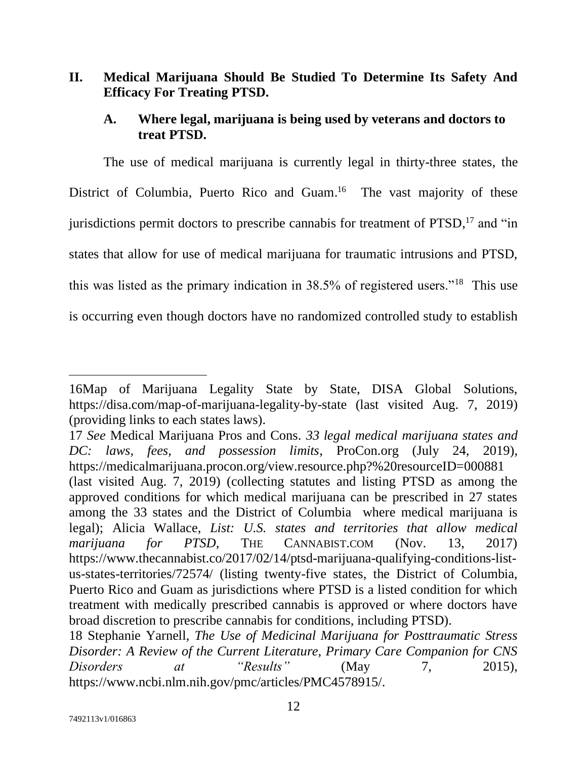## <span id="page-18-0"></span>**II. Medical Marijuana Should Be Studied To Determine Its Safety And Efficacy For Treating PTSD.**

### <span id="page-18-1"></span>**A. Where legal, marijuana is being used by veterans and doctors to treat PTSD.**

The use of medical marijuana is currently legal in thirty-three states, the District of Columbia, Puerto Rico and Guam.<sup>16</sup> The vast majority of these jurisdictions permit doctors to prescribe cannabis for treatment of PTSD,<sup>17</sup> and "in states that allow for use of medical marijuana for traumatic intrusions and PTSD, this was listed as the primary indication in 38.5% of registered users."<sup>18</sup> This use is occurring even though doctors have no randomized controlled study to establish

<span id="page-18-4"></span>17 *See* Medical Marijuana Pros and Cons. *33 legal medical marijuana states and DC: laws, fees, and possession limits*, ProCon.org (July 24, 2019), https://medicalmarijuana.procon.org/view.resource.php?%20resourceID=000881 (last visited Aug. 7, 2019) (collecting statutes and listing PTSD as among the

<span id="page-18-3"></span><sup>16</sup>Map of Marijuana Legality State by State, DISA Global Solutions, <https://disa.com/map-of-marijuana-legality-by-state> (last visited Aug. 7, 2019) (providing links to each states laws).

<span id="page-18-2"></span>approved conditions for which medical marijuana can be prescribed in 27 states among the 33 states and the District of Columbia where medical marijuana is legal); Alicia Wallace, *List: U.S. states and territories that allow medical marijuana for PTSD*, THE CANNABIST.COM (Nov. 13, 2017) https://www.thecannabist.co/2017/02/14/ptsd-marijuana-qualifying-conditions-listus-states-territories/72574/ (listing twenty-five states, the District of Columbia, Puerto Rico and Guam as jurisdictions where PTSD is a listed condition for which treatment with medically prescribed cannabis is approved or where doctors have broad discretion to prescribe cannabis for conditions, including PTSD).

<span id="page-18-5"></span><sup>18</sup> Stephanie Yarnell, *The Use of Medicinal Marijuana for Posttraumatic Stress Disorder: A Review of the Current Literature, Primary Care Companion for CNS Disorders at "Results"* (May 7, 2015), https://www.ncbi.nlm.nih.gov/pmc/articles/PMC4578915/.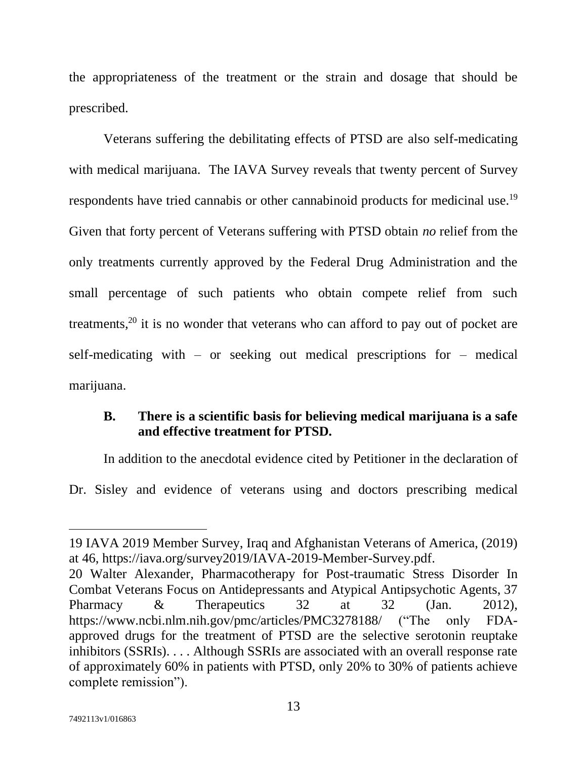the appropriateness of the treatment or the strain and dosage that should be prescribed.

Veterans suffering the debilitating effects of PTSD are also self-medicating with medical marijuana. The IAVA Survey reveals that twenty percent of Survey respondents have tried cannabis or other cannabinoid products for medicinal use.<sup>19</sup> Given that forty percent of Veterans suffering with PTSD obtain *no* relief from the only treatments currently approved by the Federal Drug Administration and the small percentage of such patients who obtain compete relief from such treatments,<sup>20</sup> it is no wonder that veterans who can afford to pay out of pocket are self-medicating with – or seeking out medical prescriptions for – medical marijuana.

#### <span id="page-19-0"></span>**B. There is a scientific basis for believing medical marijuana is a safe and effective treatment for PTSD.**

In addition to the anecdotal evidence cited by Petitioner in the declaration of Dr. Sisley and evidence of veterans using and doctors prescribing medical

<sup>19</sup> IAVA 2019 Member Survey, Iraq and Afghanistan Veterans of America, (2019) at 46, https://iava.org/survey2019/IAVA-2019-Member-Survey.pdf.

<span id="page-19-1"></span><sup>20</sup> Walter Alexander, Pharmacotherapy for Post-traumatic Stress Disorder In Combat Veterans Focus on Antidepressants and Atypical Antipsychotic Agents, 37 Pharmacy & Therapeutics 32 at 32 (Jan. 2012), https://www.ncbi.nlm.nih.gov/pmc/articles/PMC3278188/ ("The only FDAapproved drugs for the treatment of PTSD are the selective serotonin reuptake inhibitors (SSRIs). . . . Although SSRIs are associated with an overall response rate of approximately 60% in patients with PTSD, only 20% to 30% of patients achieve complete remission").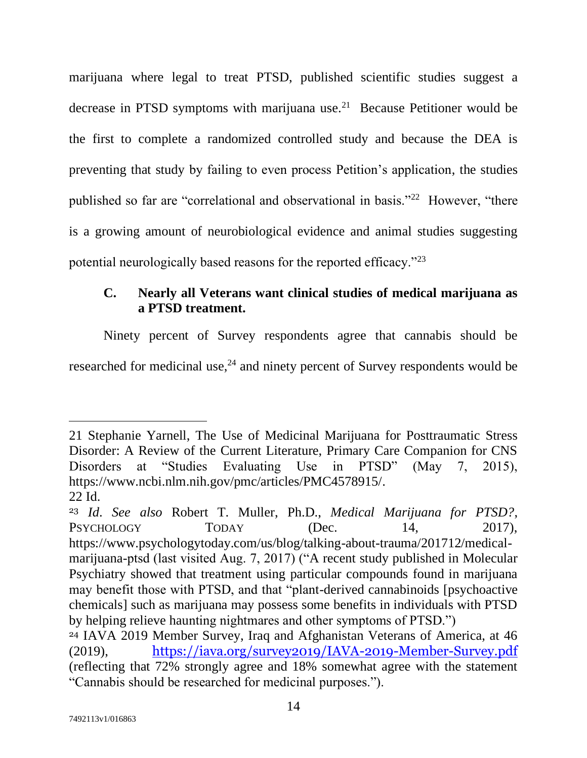marijuana where legal to treat PTSD, published scientific studies suggest a decrease in PTSD symptoms with marijuana use.<sup>21</sup> Because Petitioner would be the first to complete a randomized controlled study and because the DEA is preventing that study by failing to even process Petition's application, the studies published so far are "correlational and observational in basis."<sup>22</sup> However, "there is a growing amount of neurobiological evidence and animal studies suggesting potential neurologically based reasons for the reported efficacy."<sup>23</sup>

## <span id="page-20-0"></span>**C. Nearly all Veterans want clinical studies of medical marijuana as a PTSD treatment.**

Ninety percent of Survey respondents agree that cannabis should be researched for medicinal use,<sup>24</sup> and ninety percent of Survey respondents would be

<span id="page-20-2"></span><sup>21</sup> Stephanie Yarnell, The Use of Medicinal Marijuana for Posttraumatic Stress Disorder: A Review of the Current Literature, Primary Care Companion for CNS Disorders at "Studies Evaluating Use in PTSD" (May 7, 2015), https://www.ncbi.nlm.nih.gov/pmc/articles/PMC4578915/. 22 Id.

<span id="page-20-1"></span><sup>23</sup> *Id*. *See also* Robert T. Muller, Ph.D., *Medical Marijuana for PTSD?*, PSYCHOLOGY TODAY (Dec. 14, 2017). https://www.psychologytoday.com/us/blog/talking-about-trauma/201712/medicalmarijuana-ptsd (last visited Aug. 7, 2017) ("A recent study published in Molecular Psychiatry showed that treatment using particular compounds found in marijuana may benefit those with PTSD, and that "plant-derived cannabinoids [psychoactive chemicals] such as marijuana may possess some benefits in individuals with PTSD by helping relieve haunting nightmares and other symptoms of PTSD.") <sup>24</sup> IAVA 2019 Member Survey, Iraq and Afghanistan Veterans of America, at 46 (2019), <https://iava.org/survey2019/IAVA-2019-Member-Survey.pdf>

<sup>(</sup>reflecting that 72% strongly agree and 18% somewhat agree with the statement "Cannabis should be researched for medicinal purposes.").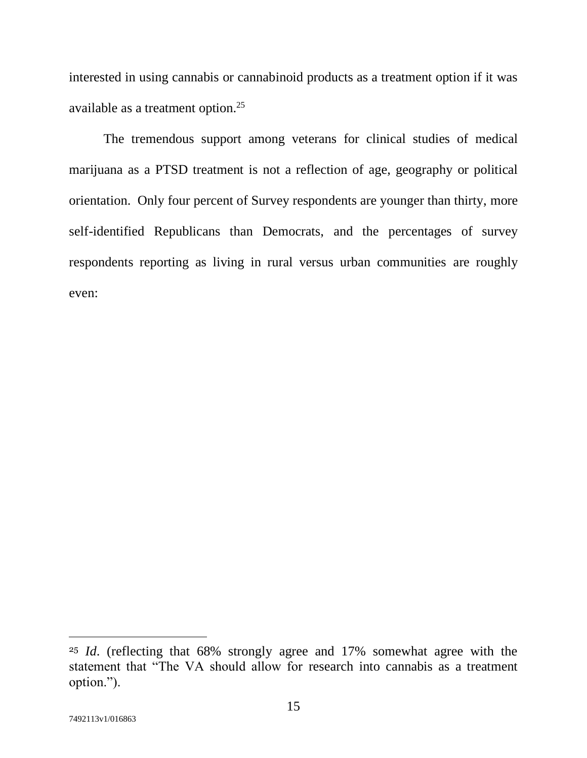interested in using cannabis or cannabinoid products as a treatment option if it was available as a treatment option.<sup>25</sup>

The tremendous support among veterans for clinical studies of medical marijuana as a PTSD treatment is not a reflection of age, geography or political orientation. Only four percent of Survey respondents are younger than thirty, more self-identified Republicans than Democrats, and the percentages of survey respondents reporting as living in rural versus urban communities are roughly even:

<sup>25</sup> *Id*. (reflecting that 68% strongly agree and 17% somewhat agree with the statement that "The VA should allow for research into cannabis as a treatment option.").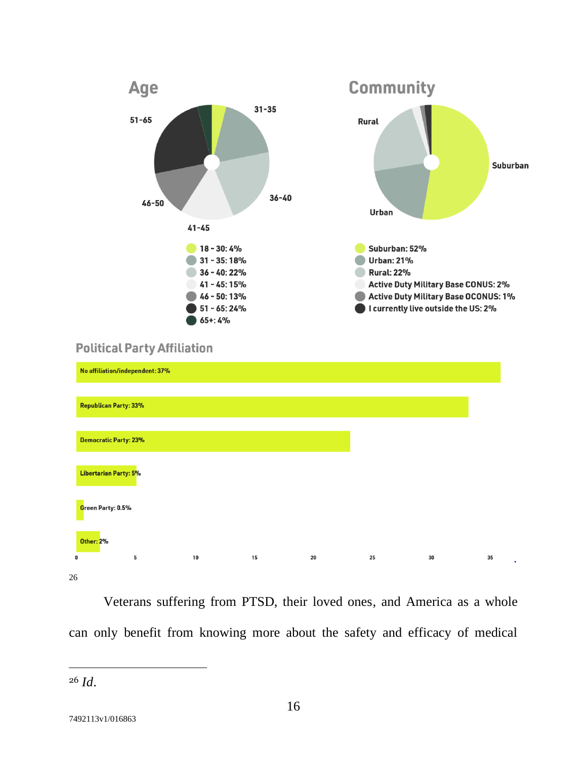

## **Political Party Affiliation**

|                   | No affiliation/independent: 37% |    |    |    |    |    |    |
|-------------------|---------------------------------|----|----|----|----|----|----|
|                   | Republican Party: 33%           |    |    |    |    |    |    |
|                   | <b>Democratic Party: 23%</b>    |    |    |    |    |    |    |
|                   | Libertarian Party: 5%           |    |    |    |    |    |    |
| Green Party: 0.5% |                                 |    |    |    |    |    |    |
| <b>Other: 2%</b>  |                                 |    |    |    |    |    |    |
| $\bf{0}$          | 5                               | 10 | 15 | 20 | 25 | 30 | 35 |
| 26                |                                 |    |    |    |    |    |    |

Veterans suffering from PTSD, their loved ones, and America as a whole can only benefit from knowing more about the safety and efficacy of medical

<sup>26</sup> *Id*.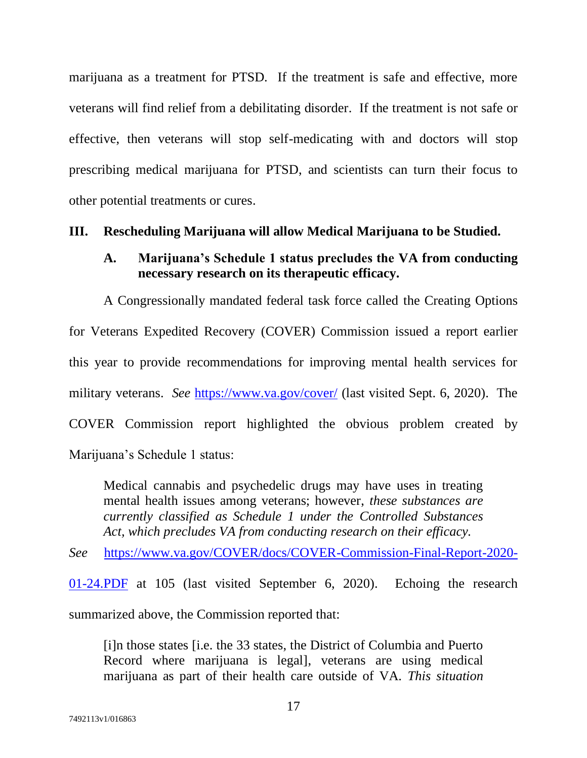marijuana as a treatment for PTSD. If the treatment is safe and effective, more veterans will find relief from a debilitating disorder. If the treatment is not safe or effective, then veterans will stop self-medicating with and doctors will stop prescribing medical marijuana for PTSD, and scientists can turn their focus to other potential treatments or cures.

#### <span id="page-23-1"></span><span id="page-23-0"></span>**III. Rescheduling Marijuana will allow Medical Marijuana to be Studied.**

#### **A. Marijuana's Schedule 1 status precludes the VA from conducting necessary research on its therapeutic efficacy.**

A Congressionally mandated federal task force called the Creating Options for Veterans Expedited Recovery (COVER) Commission issued a report earlier this year to provide recommendations for improving mental health services for military veterans. *See* <https://www.va.gov/cover/> (last visited Sept. 6, 2020). The COVER Commission report highlighted the obvious problem created by Marijuana's Schedule 1 status:

<span id="page-23-2"></span>Medical cannabis and psychedelic drugs may have uses in treating mental health issues among veterans; however, *these substances are currently classified as Schedule 1 under the Controlled Substances Act, which precludes VA from conducting research on their efficacy.*

<span id="page-23-3"></span>*See* [https://www.va.gov/COVER/docs/COVER-Commission-Final-Report-2020-](https://www.va.gov/COVER/docs/COVER-Commission-Final-Report-2020-01-24.PDF)

[01-24.PDF](https://www.va.gov/COVER/docs/COVER-Commission-Final-Report-2020-01-24.PDF) at 105 (last visited September 6, 2020). Echoing the research summarized above, the Commission reported that:

[i]n those states [i.e. the 33 states, the District of Columbia and Puerto Record where marijuana is legal], veterans are using medical marijuana as part of their health care outside of VA. *This situation*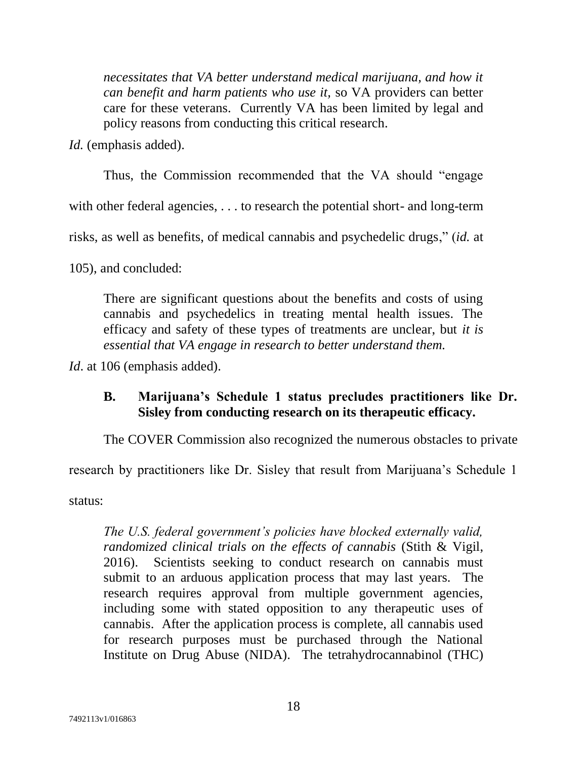*necessitates that VA better understand medical marijuana, and how it can benefit and harm patients who use it,* so VA providers can better care for these veterans. Currently VA has been limited by legal and policy reasons from conducting this critical research.

<span id="page-24-1"></span>*Id.* (emphasis added).

Thus, the Commission recommended that the VA should "engage

with other federal agencies, ... to research the potential short- and long-term

risks, as well as benefits, of medical cannabis and psychedelic drugs," (*id.* at

105), and concluded:

There are significant questions about the benefits and costs of using cannabis and psychedelics in treating mental health issues. The efficacy and safety of these types of treatments are unclear, but *it is essential that VA engage in research to better understand them.*

<span id="page-24-0"></span>*Id.* at 106 (emphasis added).

### **B. Marijuana's Schedule 1 status precludes practitioners like Dr. Sisley from conducting research on its therapeutic efficacy.**

The COVER Commission also recognized the numerous obstacles to private

research by practitioners like Dr. Sisley that result from Marijuana's Schedule 1

status:

*The U.S. federal government's policies have blocked externally valid, randomized clinical trials on the effects of cannabis* (Stith & Vigil, 2016). Scientists seeking to conduct research on cannabis must submit to an arduous application process that may last years. The research requires approval from multiple government agencies, including some with stated opposition to any therapeutic uses of cannabis. After the application process is complete, all cannabis used for research purposes must be purchased through the National Institute on Drug Abuse (NIDA). The tetrahydrocannabinol (THC)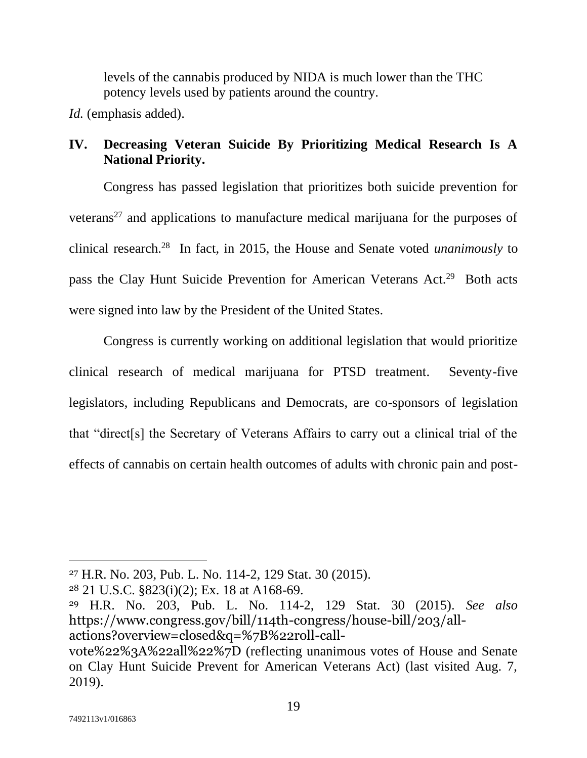levels of the cannabis produced by NIDA is much lower than the THC potency levels used by patients around the country.

<span id="page-25-6"></span>*Id.* (emphasis added).

# <span id="page-25-0"></span>**IV. Decreasing Veteran Suicide By Prioritizing Medical Research Is A National Priority.**

Congress has passed legislation that prioritizes both suicide prevention for veterans<sup>27</sup> and applications to manufacture medical marijuana for the purposes of clinical research.<sup>28</sup> In fact, in 2015, the House and Senate voted *unanimously* to pass the Clay Hunt Suicide Prevention for American Veterans Act.<sup>29</sup> Both acts were signed into law by the President of the United States.

Congress is currently working on additional legislation that would prioritize clinical research of medical marijuana for PTSD treatment. Seventy-five legislators, including Republicans and Democrats, are co-sponsors of legislation that "direct[s] the Secretary of Veterans Affairs to carry out a clinical trial of the effects of cannabis on certain health outcomes of adults with chronic pain and post-

<span id="page-25-4"></span><span id="page-25-2"></span><sup>27</sup> H.R. No. 203, Pub. L. No. 114-2, 129 Stat. 30 (2015).

<span id="page-25-1"></span><sup>28</sup> 21 U.S.C. §823(i)(2); Ex. 18 at A168-69.

<span id="page-25-5"></span><sup>29</sup> H.R. No. 203, Pub. L. No. 114-2, 129 Stat. 30 (2015). *See also* https://www.congress.gov/bill/114th-congress/house-bill/203/allactions?overview=closed&q=%7B%22roll-call-

<span id="page-25-3"></span>vote%22%3A%22all%22%7D (reflecting unanimous votes of House and Senate on Clay Hunt Suicide Prevent for American Veterans Act) (last visited Aug. 7, 2019).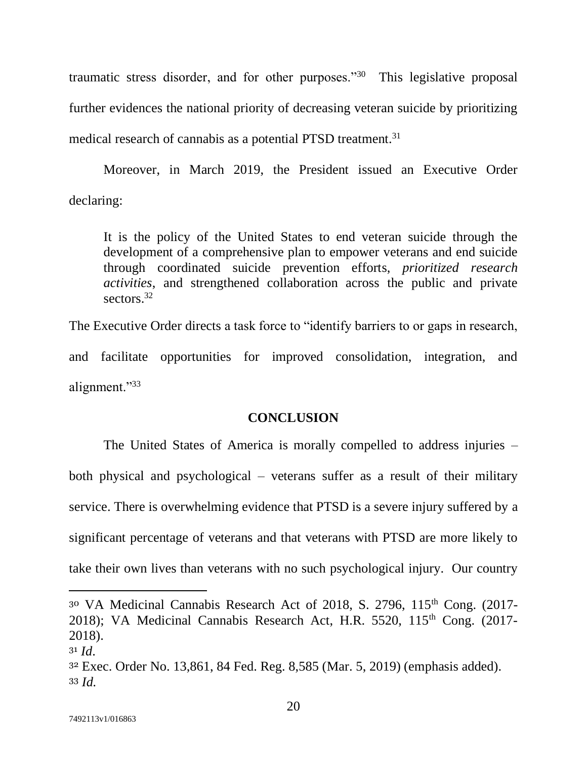traumatic stress disorder, and for other purposes."<sup>30</sup> This legislative proposal further evidences the national priority of decreasing veteran suicide by prioritizing medical research of cannabis as a potential PTSD treatment.<sup>31</sup>

Moreover, in March 2019, the President issued an Executive Order declaring:

It is the policy of the United States to end veteran suicide through the development of a comprehensive plan to empower veterans and end suicide through coordinated suicide prevention efforts, *prioritized research activities*, and strengthened collaboration across the public and private sectors<sup>32</sup>

The Executive Order directs a task force to "identify barriers to or gaps in research, and facilitate opportunities for improved consolidation, integration, and alignment."33

### **CONCLUSION**

<span id="page-26-0"></span>The United States of America is morally compelled to address injuries – both physical and psychological – veterans suffer as a result of their military service. There is overwhelming evidence that PTSD is a severe injury suffered by a significant percentage of veterans and that veterans with PTSD are more likely to take their own lives than veterans with no such psychological injury. Our country

<span id="page-26-2"></span><span id="page-26-1"></span><sup>30</sup> VA Medicinal Cannabis Research Act of 2018, S. 2796, 115<sup>th</sup> Cong. (2017-2018); VA Medicinal Cannabis Research Act, H.R. 5520, 115<sup>th</sup> Cong. (2017-2018).

<sup>31</sup> *Id*.

<span id="page-26-3"></span><sup>32</sup> Exec. Order No. 13,861, 84 Fed. Reg. 8,585 (Mar. 5, 2019) (emphasis added). <sup>33</sup> *Id.*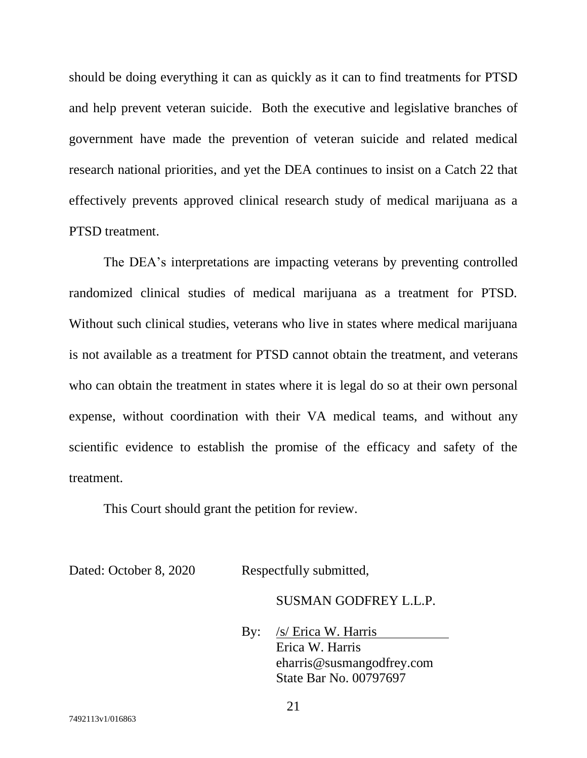should be doing everything it can as quickly as it can to find treatments for PTSD and help prevent veteran suicide. Both the executive and legislative branches of government have made the prevention of veteran suicide and related medical research national priorities, and yet the DEA continues to insist on a Catch 22 that effectively prevents approved clinical research study of medical marijuana as a PTSD treatment.

The DEA's interpretations are impacting veterans by preventing controlled randomized clinical studies of medical marijuana as a treatment for PTSD. Without such clinical studies, veterans who live in states where medical marijuana is not available as a treatment for PTSD cannot obtain the treatment, and veterans who can obtain the treatment in states where it is legal do so at their own personal expense, without coordination with their VA medical teams, and without any scientific evidence to establish the promise of the efficacy and safety of the treatment.

This Court should grant the petition for review.

Dated: October 8, 2020 Respectfully submitted,

SUSMAN GODFREY L.L.P.

By: /s/ Erica W. Harris Erica W. Harris eharris@susmangodfrey.com State Bar No. 00797697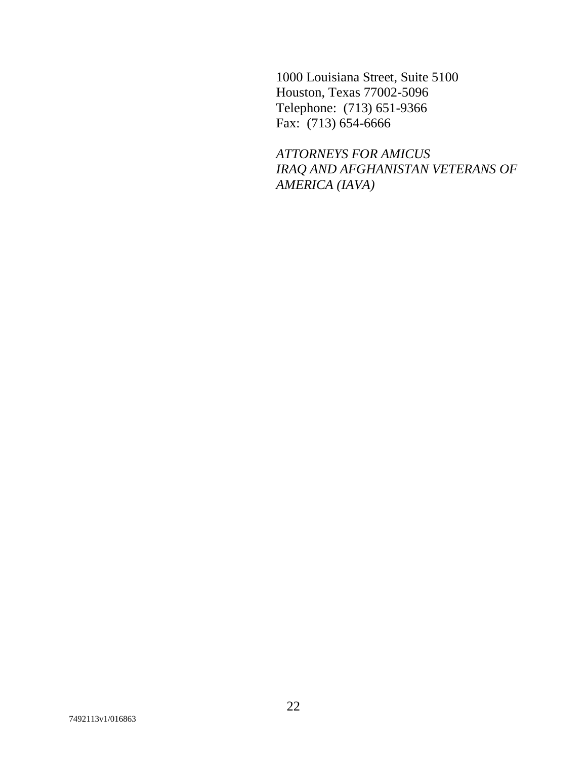1000 Louisiana Street, Suite 5100 Houston, Texas 77002-5096 Telephone: (713) 651-9366 Fax: (713) 654-6666

*ATTORNEYS FOR AMICUS IRAQ AND AFGHANISTAN VETERANS OF AMERICA (IAVA)*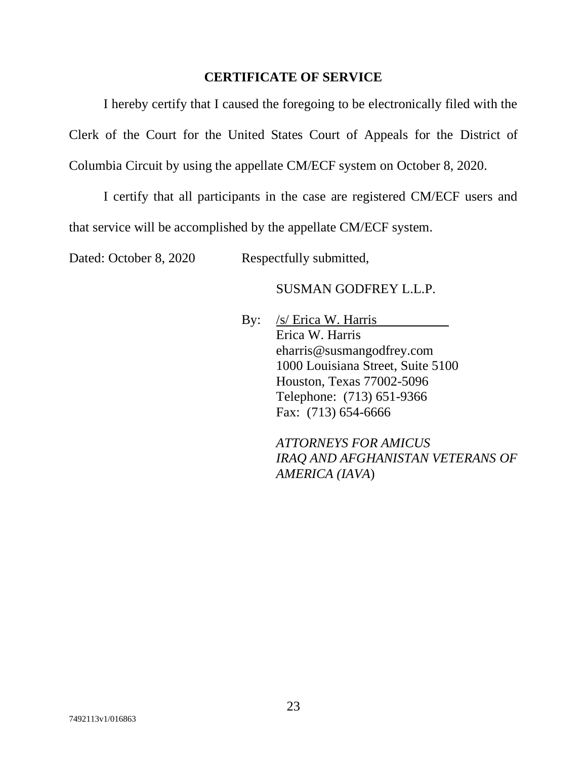#### **CERTIFICATE OF SERVICE**

<span id="page-29-0"></span>I hereby certify that I caused the foregoing to be electronically filed with the Clerk of the Court for the United States Court of Appeals for the District of Columbia Circuit by using the appellate CM/ECF system on October 8, 2020.

I certify that all participants in the case are registered CM/ECF users and that service will be accomplished by the appellate CM/ECF system.

Dated: October 8, 2020 Respectfully submitted,

#### SUSMAN GODFREY L.L.P.

By: /s/ Erica W. Harris Erica W. Harris eharris@susmangodfrey.com 1000 Louisiana Street, Suite 5100 Houston, Texas 77002-5096 Telephone: (713) 651-9366 Fax: (713) 654-6666

> *ATTORNEYS FOR AMICUS IRAQ AND AFGHANISTAN VETERANS OF AMERICA (IAVA*)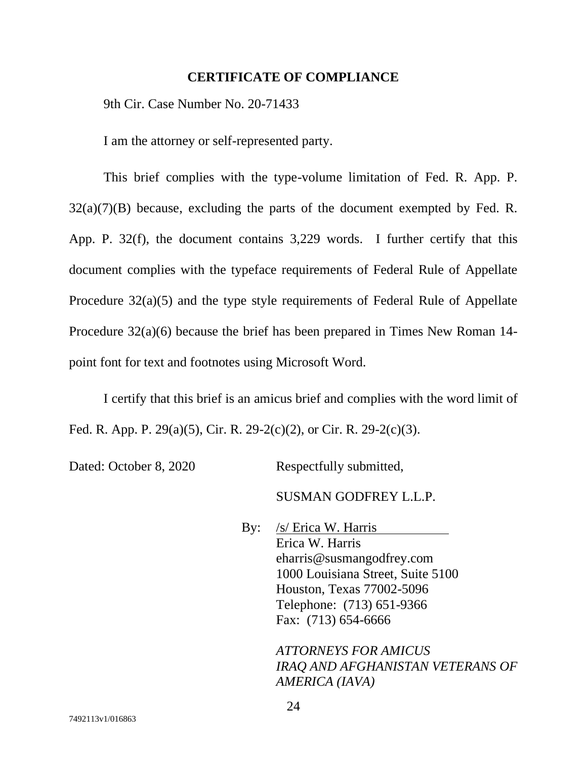#### **CERTIFICATE OF COMPLIANCE**

<span id="page-30-0"></span>9th Cir. Case Number No. 20-71433

I am the attorney or self-represented party.

This brief complies with the type-volume limitation of Fed. R. App. P.  $32(a)(7)(B)$  because, excluding the parts of the document exempted by Fed. R. App. P. 32(f), the document contains 3,229 words. I further certify that this document complies with the typeface requirements of Federal Rule of Appellate Procedure 32(a)(5) and the type style requirements of Federal Rule of Appellate Procedure 32(a)(6) because the brief has been prepared in Times New Roman 14 point font for text and footnotes using Microsoft Word.

I certify that this brief is an amicus brief and complies with the word limit of Fed. R. App. P. 29(a)(5), Cir. R. 29-2(c)(2), or Cir. R. 29-2(c)(3).

Dated: October 8, 2020 Respectfully submitted,

SUSMAN GODFREY L.L.P.

By: /s/ Erica W. Harris Erica W. Harris eharris@susmangodfrey.com 1000 Louisiana Street, Suite 5100 Houston, Texas 77002-5096 Telephone: (713) 651-9366 Fax: (713) 654-6666

> *ATTORNEYS FOR AMICUS IRAQ AND AFGHANISTAN VETERANS OF AMERICA (IAVA)*